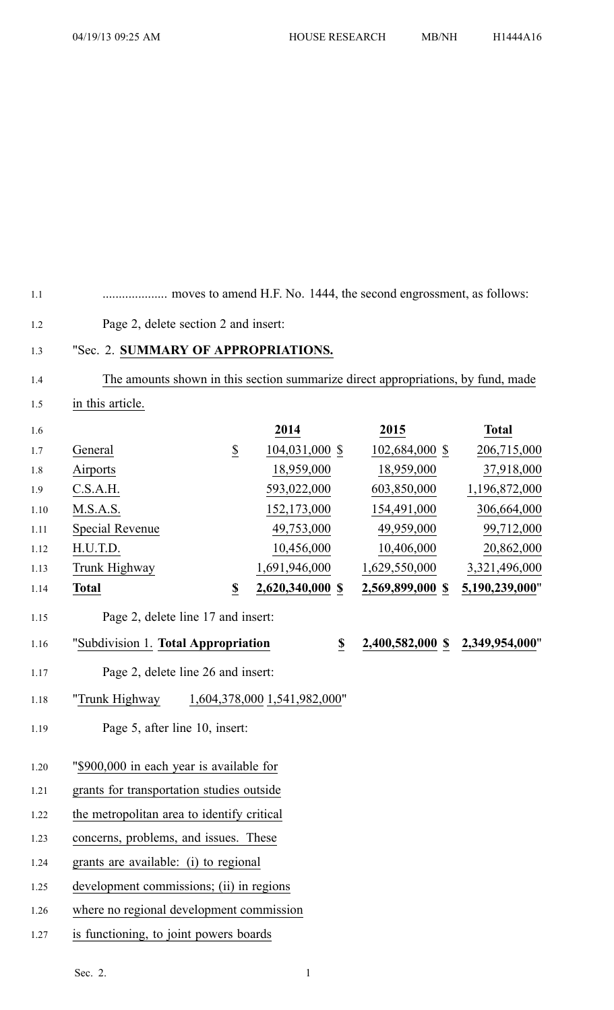1.2 Page 2, delete section 2 and insert:

1.3 "Sec. 2. **SUMMARY OF APPROPRIATIONS.** 1.4 The amounts shown in this section summarize direct appropriations, by fund, made 1.5 in this article. 1.6 **2014 2015 Total** 1.7 General \$ 104,031,000 \$ 102,684,000 \$ 206,715,000 1.8 Airports 18,959,000 18,959,000 37,918,000 1.9 C.S.A.H. 593,022,000 603,850,000 1,196,872,000 1.10 M.S.A.S. 152,173,000 154,491,000 306,664,000 1.11 Special Revenue 49,753,000 49,959,000 99,712,000 1.12 H.U.T.D. 10,456,000 10,406,000 20,862,000 1.13 Trunk Highway 1,691,946,000 1,629,550,000 3,321,496,000 1.14 **Total \$ 2,620,340,000 \$ 2,569,899,000 \$ 5,190,239,000**" 1.15 Page 2, delete line 17 and insert: 1.16 "Subdivision 1. **Total Appropriation \$ 2,400,582,000 \$ 2,349,954,000**" 1.17 Page 2, delete line 26 and insert: 1.18 "Trunk Highway 1,604,378,000 1,541,982,000" 1.19 Page 5, after line 10, insert: 1.20 "\$900,000 in each year is available for 1.21 grants for transportation studies outside

1.1 .................... moves to amend H.F. No. 1444, the second engrossment, as follows:

1.22 the metropolitan area to identify critical

1.23 concerns, problems, and issues. These

1.24 grants are available: (i) to regional

1.25 development commissions; (ii) in regions

1.26 where no regional development commission

1.27 is functioning, to joint powers boards